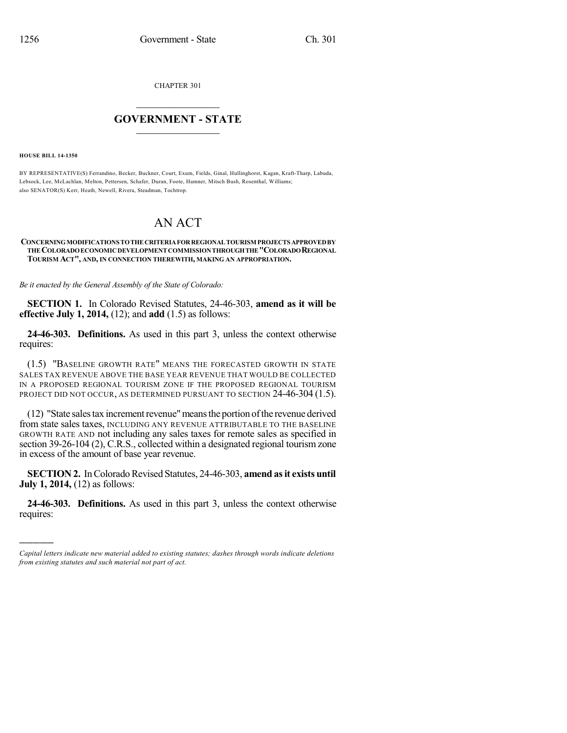CHAPTER 301

## $\overline{\phantom{a}}$  . The set of the set of the set of the set of the set of the set of the set of the set of the set of the set of the set of the set of the set of the set of the set of the set of the set of the set of the set o **GOVERNMENT - STATE**  $\_$

**HOUSE BILL 14-1350**

)))))

BY REPRESENTATIVE(S) Ferrandino, Becker, Buckner, Court, Exum, Fields, Ginal, Hullinghorst, Kagan, Kraft-Tharp, Labuda, Lebsock, Lee, McLachlan, Melton, Pettersen, Schafer, Duran, Foote, Hamner, Mitsch Bush, Rosenthal, Williams; also SENATOR(S) Kerr, Heath, Newell, Rivera, Steadman, Tochtrop.

## AN ACT

## **CONCERNINGMODIFICATIONS TOTHECRITERIAFORREGIONALTOURISM PROJECTS APPROVEDBY THECOLORADOECONOMICDEVELOPMENTCOMMISSIONTHROUGHTHE"COLORADOREGIONAL TOURISM ACT", AND, IN CONNECTION THEREWITH, MAKING AN APPROPRIATION.**

*Be it enacted by the General Assembly of the State of Colorado:*

**SECTION 1.** In Colorado Revised Statutes, 24-46-303, **amend as it will be effective July 1, 2014,** (12); and **add** (1.5) as follows:

**24-46-303. Definitions.** As used in this part 3, unless the context otherwise requires:

(1.5) "BASELINE GROWTH RATE" MEANS THE FORECASTED GROWTH IN STATE SALES TAX REVENUE ABOVE THE BASE YEAR REVENUE THAT WOULD BE COLLECTED IN A PROPOSED REGIONAL TOURISM ZONE IF THE PROPOSED REGIONAL TOURISM PROJECT DID NOT OCCUR, AS DETERMINED PURSUANT TO SECTION 24-46-304 (1.5).

(12) "State salestax incrementrevenue"meansthe portion ofthe revenue derived from state sales taxes, INCLUDING ANY REVENUE ATTRIBUTABLE TO THE BASELINE GROWTH RATE AND not including any sales taxes for remote sales as specified in section 39-26-104 (2), C.R.S., collected within a designated regional tourism zone in excess of the amount of base year revenue.

**SECTION 2.** In Colorado Revised Statutes, 24-46-303, **amend as it exists until July 1, 2014,** (12) as follows:

**24-46-303. Definitions.** As used in this part 3, unless the context otherwise requires:

*Capital letters indicate new material added to existing statutes; dashes through words indicate deletions from existing statutes and such material not part of act.*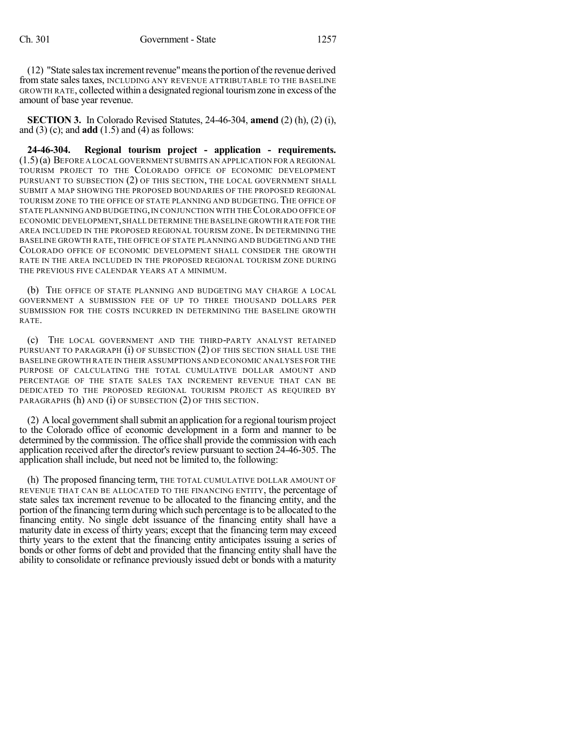(12) "State sales tax increment revenue" means the portion of the revenue derived from state sales taxes, INCLUDING ANY REVENUE ATTRIBUTABLE TO THE BASELINE GROWTH RATE, collected within a designated regional tourismzone in excess of the amount of base year revenue.

**SECTION 3.** In Colorado Revised Statutes, 24-46-304, **amend** (2) (h), (2) (i), and (3) (c); and **add** (1.5) and (4) as follows:

**24-46-304. Regional tourism project - application - requirements.** (1.5)(a) BEFORE A LOCAL GOVERNMENT SUBMITS AN APPLICATION FOR A REGIONAL TOURISM PROJECT TO THE COLORADO OFFICE OF ECONOMIC DEVELOPMENT PURSUANT TO SUBSECTION (2) OF THIS SECTION, THE LOCAL GOVERNMENT SHALL SUBMIT A MAP SHOWING THE PROPOSED BOUNDARIES OF THE PROPOSED REGIONAL TOURISM ZONE TO THE OFFICE OF STATE PLANNING AND BUDGETING. THE OFFICE OF STATE PLANNING AND BUDGETING, IN CONJUNCTION WITH THE COLORADO OFFICE OF ECONOMIC DEVELOPMENT,SHALL DETERMINE THE BASELINE GROWTH RATE FOR THE AREA INCLUDED IN THE PROPOSED REGIONAL TOURISM ZONE. IN DETERMINING THE BASELINE GROWTH RATE, THE OFFICE OF STATE PLANNING AND BUDGETING AND THE COLORADO OFFICE OF ECONOMIC DEVELOPMENT SHALL CONSIDER THE GROWTH RATE IN THE AREA INCLUDED IN THE PROPOSED REGIONAL TOURISM ZONE DURING THE PREVIOUS FIVE CALENDAR YEARS AT A MINIMUM.

(b) THE OFFICE OF STATE PLANNING AND BUDGETING MAY CHARGE A LOCAL GOVERNMENT A SUBMISSION FEE OF UP TO THREE THOUSAND DOLLARS PER SUBMISSION FOR THE COSTS INCURRED IN DETERMINING THE BASELINE GROWTH RATE.

(c) THE LOCAL GOVERNMENT AND THE THIRD-PARTY ANALYST RETAINED PURSUANT TO PARAGRAPH (i) OF SUBSECTION (2) OF THIS SECTION SHALL USE THE BASELINE GROWTH RATE IN THEIR ASSUMPTIONS AND ECONOMIC ANALYSES FOR THE PURPOSE OF CALCULATING THE TOTAL CUMULATIVE DOLLAR AMOUNT AND PERCENTAGE OF THE STATE SALES TAX INCREMENT REVENUE THAT CAN BE DEDICATED TO THE PROPOSED REGIONAL TOURISM PROJECT AS REQUIRED BY PARAGRAPHS (h) AND (i) OF SUBSECTION (2) OF THIS SECTION.

 $(2)$  A local government shall submit an application for a regional tourism project to the Colorado office of economic development in a form and manner to be determined by the commission. The office shall provide the commission with each application received after the director's review pursuant to section 24-46-305. The application shall include, but need not be limited to, the following:

(h) The proposed financing term, THE TOTAL CUMULATIVE DOLLAR AMOUNT OF REVENUE THAT CAN BE ALLOCATED TO THE FINANCING ENTITY, the percentage of state sales tax increment revenue to be allocated to the financing entity, and the portion of the financing termduring which such percentage isto be allocated to the financing entity. No single debt issuance of the financing entity shall have a maturity date in excess of thirty years; except that the financing term may exceed thirty years to the extent that the financing entity anticipates issuing a series of bonds or other forms of debt and provided that the financing entity shall have the ability to consolidate or refinance previously issued debt or bonds with a maturity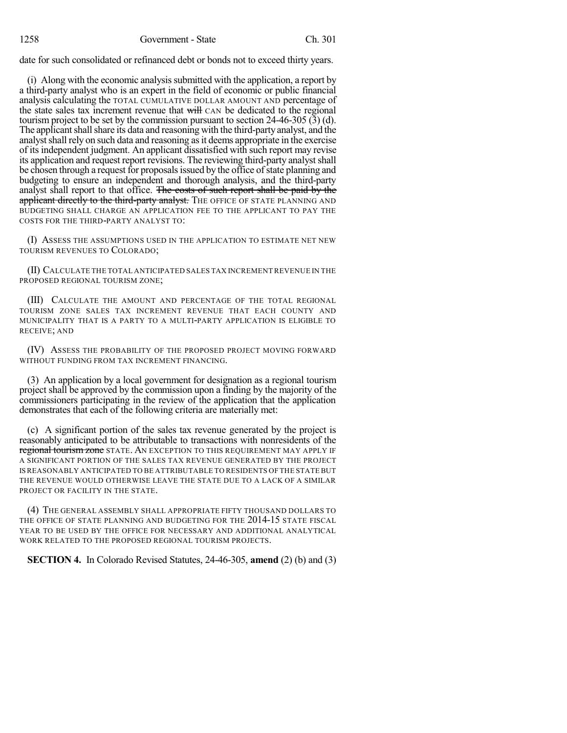date for such consolidated or refinanced debt or bonds not to exceed thirty years.

(i) Along with the economic analysissubmitted with the application, a report by a third-party analyst who is an expert in the field of economic or public financial analysis calculating the TOTAL CUMULATIVE DOLLAR AMOUNT AND percentage of the state sales tax increment revenue that will CAN be dedicated to the regional tourism project to be set by the commission pursuant to section 24-46-305 (3) (d). The applicant shall share its data and reasoning with the third-party analyst, and the analyst shall rely on such data and reasoning as it deems appropriate in the exercise of its independent judgment. An applicant dissatisfied with such report may revise its application and request report revisions. The reviewing third-party analystshall be chosen through a request for proposals issued by the office of state planning and budgeting to ensure an independent and thorough analysis, and the third-party analyst shall report to that office. The costs of such report shall be paid by the applicant directly to the third-party analyst. The OFFICE OF STATE PLANNING AND BUDGETING SHALL CHARGE AN APPLICATION FEE TO THE APPLICANT TO PAY THE COSTS FOR THE THIRD-PARTY ANALYST TO:

(I) ASSESS THE ASSUMPTIONS USED IN THE APPLICATION TO ESTIMATE NET NEW TOURISM REVENUES TO COLORADO;

(II) CALCULATE THE TOTAL ANTICIPATED SALES TAX INCREMENT REVENUE IN THE PROPOSED REGIONAL TOURISM ZONE;

(III) CALCULATE THE AMOUNT AND PERCENTAGE OF THE TOTAL REGIONAL TOURISM ZONE SALES TAX INCREMENT REVENUE THAT EACH COUNTY AND MUNICIPALITY THAT IS A PARTY TO A MULTI-PARTY APPLICATION IS ELIGIBLE TO RECEIVE; AND

(IV) ASSESS THE PROBABILITY OF THE PROPOSED PROJECT MOVING FORWARD WITHOUT FUNDING FROM TAX INCREMENT FINANCING.

(3) An application by a local government for designation as a regional tourism project shall be approved by the commission upon a finding by the majority of the commissioners participating in the review of the application that the application demonstrates that each of the following criteria are materially met:

(c) A significant portion of the sales tax revenue generated by the project is reasonably anticipated to be attributable to transactions with nonresidents of the regional tourism zone STATE. AN EXCEPTION TO THIS REQUIREMENT MAY APPLY IF A SIGNIFICANT PORTION OF THE SALES TAX REVENUE GENERATED BY THE PROJECT ISREASONABLY ANTICIPATED TO BE ATTRIBUTABLE TO RESIDENTS OF THE STATE BUT THE REVENUE WOULD OTHERWISE LEAVE THE STATE DUE TO A LACK OF A SIMILAR PROJECT OR FACILITY IN THE STATE.

(4) THE GENERAL ASSEMBLY SHALL APPROPRIATE FIFTY THOUSAND DOLLARS TO THE OFFICE OF STATE PLANNING AND BUDGETING FOR THE 2014-15 STATE FISCAL YEAR TO BE USED BY THE OFFICE FOR NECESSARY AND ADDITIONAL ANALYTICAL WORK RELATED TO THE PROPOSED REGIONAL TOURISM PROJECTS.

**SECTION 4.** In Colorado Revised Statutes, 24-46-305, **amend** (2) (b) and (3)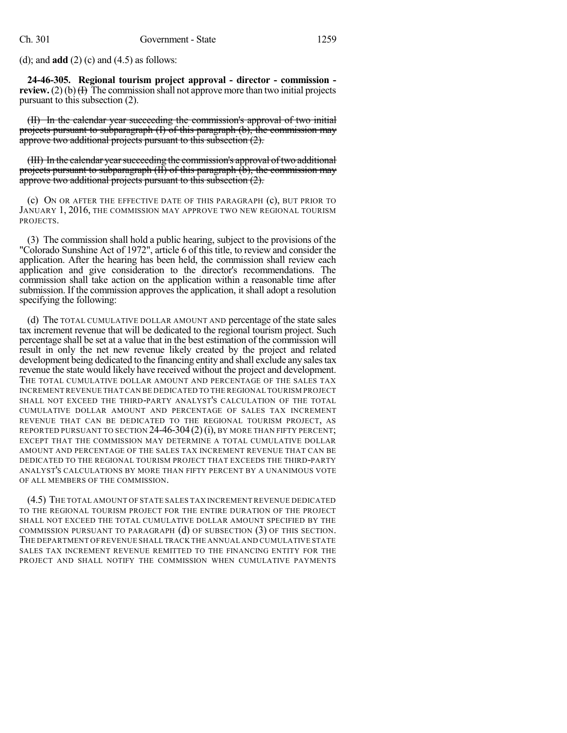(d); and **add** (2) (c) and (4.5) as follows:

**24-46-305. Regional tourism project approval - director - commission review.** (2) (b)  $(H)$  The commission shall not approve more than two initial projects pursuant to this subsection (2).

(II) In the calendar year succeeding the commission's approval of two initial projects pursuant to subparagraph (I) of this paragraph (b), the commission may approve two additional projects pursuant to this subsection (2).

(III) In the calendar year succeeding the commission's approval of two additional projects pursuant to subparagraph (II) of this paragraph (b), the commission may approve two additional projects pursuant to this subsection (2).

(c) ON OR AFTER THE EFFECTIVE DATE OF THIS PARAGRAPH (c), BUT PRIOR TO JANUARY 1, 2016, THE COMMISSION MAY APPROVE TWO NEW REGIONAL TOURISM PROJECTS.

(3) The commission shall hold a public hearing, subject to the provisions of the "Colorado Sunshine Act of 1972", article 6 of this title, to review and consider the application. After the hearing has been held, the commission shall review each application and give consideration to the director's recommendations. The commission shall take action on the application within a reasonable time after submission. If the commission approves the application, it shall adopt a resolution specifying the following:

(d) The TOTAL CUMULATIVE DOLLAR AMOUNT AND percentage of the state sales tax increment revenue that will be dedicated to the regional tourism project. Such percentage shall be set at a value that in the best estimation of the commission will result in only the net new revenue likely created by the project and related development being dedicated to the financing entity and shall exclude any salestax revenue the state would likely have received without the project and development. THE TOTAL CUMULATIVE DOLLAR AMOUNT AND PERCENTAGE OF THE SALES TAX INCREMENT REVENUE THAT CAN BE DEDICATED TO THE REGIONAL TOURISM PROJECT SHALL NOT EXCEED THE THIRD-PARTY ANALYST'S CALCULATION OF THE TOTAL CUMULATIVE DOLLAR AMOUNT AND PERCENTAGE OF SALES TAX INCREMENT REVENUE THAT CAN BE DEDICATED TO THE REGIONAL TOURISM PROJECT, AS REPORTED PURSUANT TO SECTION  $24-46-304(2)$  (i), BY MORE THAN FIFTY PERCENT; EXCEPT THAT THE COMMISSION MAY DETERMINE A TOTAL CUMULATIVE DOLLAR AMOUNT AND PERCENTAGE OF THE SALES TAX INCREMENT REVENUE THAT CAN BE DEDICATED TO THE REGIONAL TOURISM PROJECT THAT EXCEEDS THE THIRD-PARTY ANALYST'S CALCULATIONS BY MORE THAN FIFTY PERCENT BY A UNANIMOUS VOTE OF ALL MEMBERS OF THE COMMISSION.

(4.5) THE TOTAL AMOUNT OF STATE SALES TAX INCREMENT REVENUE DEDICATED TO THE REGIONAL TOURISM PROJECT FOR THE ENTIRE DURATION OF THE PROJECT SHALL NOT EXCEED THE TOTAL CUMULATIVE DOLLAR AMOUNT SPECIFIED BY THE COMMISSION PURSUANT TO PARAGRAPH (d) OF SUBSECTION (3) OF THIS SECTION. THE DEPARTMENT OFREVENUE SHALL TRACK THE ANNUAL AND CUMULATIVE STATE SALES TAX INCREMENT REVENUE REMITTED TO THE FINANCING ENTITY FOR THE PROJECT AND SHALL NOTIFY THE COMMISSION WHEN CUMULATIVE PAYMENTS